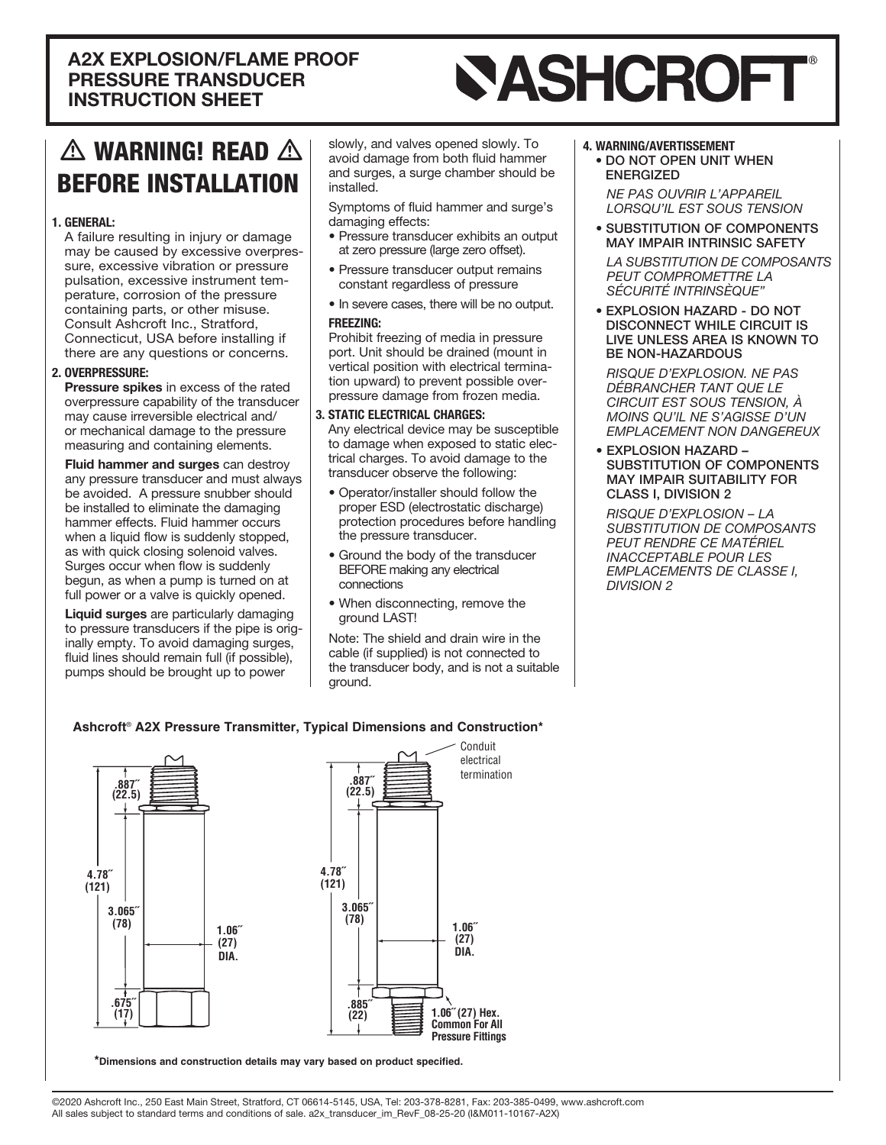### **A2X EXPLOSION/FLAME PROOF** PRESSURE TRANSDUCER **INSTRUCTION SHEET**

# **SASHCROFT®**

# $\triangle$  warning! READ  $\triangle$ **BEFORE INSTALLATION**

### 1. GENERAL:

A failure resulting in injury or damage may be caused by excessive overpres-<br>sure, excessive vibration or pressure perature, corrosion of the pressurepulsation, excessive instrument temcontaining parts, or other misuse. Consult Ashcroft Inc., Stratford, Connecticut, USA before installing if there are any questions or concerns.

### 2. OVERPRESSURE:

Pressure spikes in excess of the rated overpressure capability of the transducer may cause irreversible electrical and/ or mechanical damage to the pressure measuring and containing elements.

Fluid hammer and surges can destroy any pressure transducer and must always be avoided. A pressure snubber should be installed to eliminate the damaging hammer effects. Fluid hammer occurs when a liquid flow is suddenly stopped, as with quick closing solenoid valves. Surges occur when flow is suddenly begun, as when a pump is turned on at full power or a valve is quickly opened.

Liquid surges are particularly damaging inally empty. To avoid damaging surges, to pressure transducers if the pipe is origfluid lines should remain full (if possible), pumps should be brought up to power

slowly, and valves opened slowly. To avoid damage from both fluid hammer and surges, a surge chamber should be .installed

Symptoms of fluid hammer and surge's damaging effects:

- Pressure transducer exhibits an output at zero pressure (large zero offset).
- Pressure transducer output remains constant regardless of pressure
- . In severe cases, there will be no output. :FREEZING

Prohibit freezing of media in pressure port. Unit should be drained (mount in pressure damage from frozen media. tion upward) to prevent possible oververtical position with electrical termina-

### 3. STATIC ELECTRICAL CHARGES:

Any electrical device may be susceptible to damage when exposed to static elec-<br>trical charges. To avoid damage to the transducer observe the following:

- Operator/installer should follow the proper ESD (electrostatic discharge) protection procedures before handling the pressure transducer.
- Ground the body of the transducer BEFORE making any electrical connections
- When disconnecting, remove the ground LAST!

Note: The shield and drain wire in the cable (if supplied) is not connected to the transducer body, and is not a suitable ground.

### 4. WARNING/AVERTISSEMENT

• DO NOT OPEN UNIT WHEN ENERGIZED

*NE PAS OUVRIR L'APPAREIL* **LORSQU'IL EST SOUS TENSION** 

• SUBSTITUTION OF COMPONENTS **MAY IMPAIR INTRINSIC SAFETY LA SUBSTITUTION DE COMPOSANTS** 

**PEUT COMPROMETTRE LA** *"INTRINSÈQUE SÉCURITÉ*

• EXPLOSION HAZARD - DO NOT DISCONNECT WHILE CIRCUIT IS LIVE UNLESS AREA IS KNOWN TO **BE NON-HAZARDOUS** 

**RISQUE D'EXPLOSION. NE PAS** *LE QUE TANT DÉBRANCHER CIRCUIT EST SOUS TENSION, À MOINS QU'IL NE S'AGISSE D'UN* **EMPLACEMENT NON DANGEREUX** 

• EXPLOSION HAZARD -SUBSTITUTION OF COMPONENTS **MAY IMPAIR SUITABILITY FOR** CLASS I, DIVISION 2

**RISQUE D'EXPLOSION - LA** *COMPOSANTS* **PEUT RENDRE CE MATÉRIEL INACCEPTABLE POUR LES EMPLACEMENTS DE CLASSE I,** *2 DIVISION*

### Ashcroft<sup>®</sup> A2X Pressure Transmitter, Typical Dimensions and Construction<sup>\*</sup>





\*Dimensions and construction details may vary based on product specified.